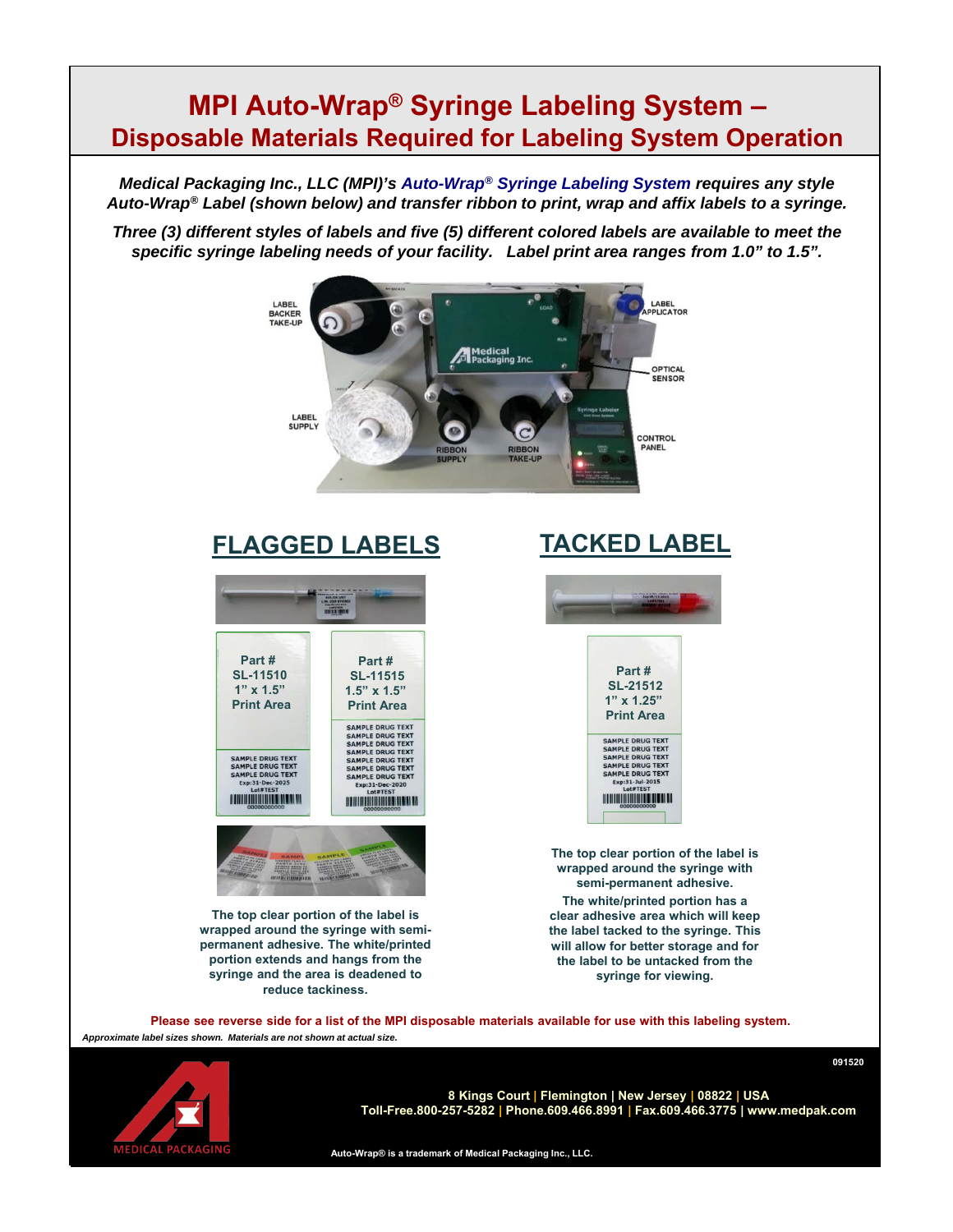## **MPI Auto-Wrap® Syringe Labeling System – Disposable Materials Required for Labeling System Operation**

*Medical Packaging Inc., LLC (MPI)'s Auto-Wrap® Syringe Labeling System requires any style Auto-Wrap® Label (shown below) and transfer ribbon to print, wrap and affix labels to a syringe.*

*Three (3) different styles of labels and five (5) different colored labels are available to meet the specific syringe labeling needs of your facility. Label print area ranges from 1.0" to 1.5".*



## **FLAGGED LABELS**



**The top clear portion of the label is wrapped around the syringe with semipermanent adhesive. The white/printed portion extends and hangs from the syringe and the area is deadened to reduce tackiness.**

## **TACKED LABEL**





**The top clear portion of the label is wrapped around the syringe with semi-permanent adhesive. The white/printed portion has a clear adhesive area which will keep the label tacked to the syringe. This will allow for better storage and for the label to be untacked from the syringe for viewing.**

**091520**

*Approximate label sizes shown. Materials are not shown at actual size.* **Please see reverse side for a list of the MPI disposable materials available for use with this labeling system.**



**8 Kings Court | Flemington | New Jersey | 08822 | USA Toll-Free.800-257-5282 | Phone.609.466.8991 | Fax.609.466.3775 | www.medpak.com**

**Auto-Wrap® is a trademark of Medical Packaging Inc., LLC.**